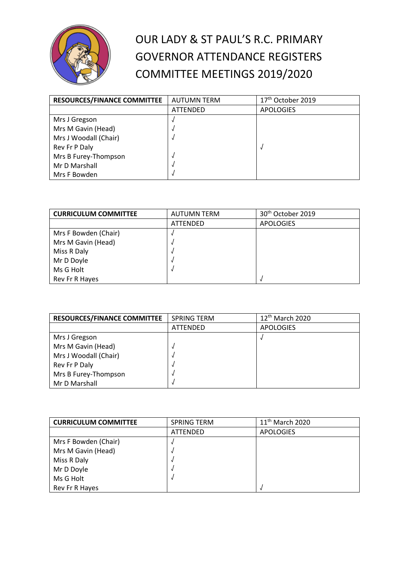

## OUR LADY & ST PAUL'S R.C. PRIMARY GOVERNOR ATTENDANCE REGISTERS COMMITTEE MEETINGS 2019/2020

| <b>RESOURCES/FINANCE COMMITTEE</b> | <b>AUTUMN TERM</b> | 17 <sup>th</sup> October 2019 |
|------------------------------------|--------------------|-------------------------------|
|                                    | <b>ATTENDED</b>    | <b>APOLOGIES</b>              |
| Mrs J Gregson                      |                    |                               |
| Mrs M Gavin (Head)                 |                    |                               |
| Mrs J Woodall (Chair)              |                    |                               |
| Rev Fr P Daly                      |                    |                               |
| Mrs B Furey-Thompson               |                    |                               |
| Mr D Marshall                      |                    |                               |
| Mrs F Bowden                       |                    |                               |

| <b>CURRICULUM COMMITTEE</b> | <b>AUTUMN TERM</b> | 30 <sup>th</sup> October 2019 |
|-----------------------------|--------------------|-------------------------------|
|                             | ATTENDED           | <b>APOLOGIES</b>              |
| Mrs F Bowden (Chair)        |                    |                               |
| Mrs M Gavin (Head)          |                    |                               |
| Miss R Daly                 |                    |                               |
| Mr D Doyle                  |                    |                               |
| Ms G Holt                   |                    |                               |
| Rev Fr R Hayes              |                    |                               |

| <b>RESOURCES/FINANCE COMMITTEE</b> | <b>SPRING TERM</b> | 12 <sup>th</sup> March 2020 |
|------------------------------------|--------------------|-----------------------------|
|                                    | ATTENDED           | <b>APOLOGIES</b>            |
| Mrs J Gregson                      |                    |                             |
| Mrs M Gavin (Head)                 |                    |                             |
| Mrs J Woodall (Chair)              |                    |                             |
| Rev Fr P Daly                      |                    |                             |
| Mrs B Furey-Thompson               |                    |                             |
| Mr D Marshall                      |                    |                             |

| <b>CURRICULUM COMMITTEE</b> | <b>SPRING TERM</b> | 11 <sup>th</sup> March 2020 |
|-----------------------------|--------------------|-----------------------------|
|                             | <b>ATTENDED</b>    | <b>APOLOGIES</b>            |
| Mrs F Bowden (Chair)        |                    |                             |
| Mrs M Gavin (Head)          |                    |                             |
| Miss R Daly                 |                    |                             |
| Mr D Doyle                  |                    |                             |
| Ms G Holt                   |                    |                             |
| Rev Fr R Hayes              |                    |                             |